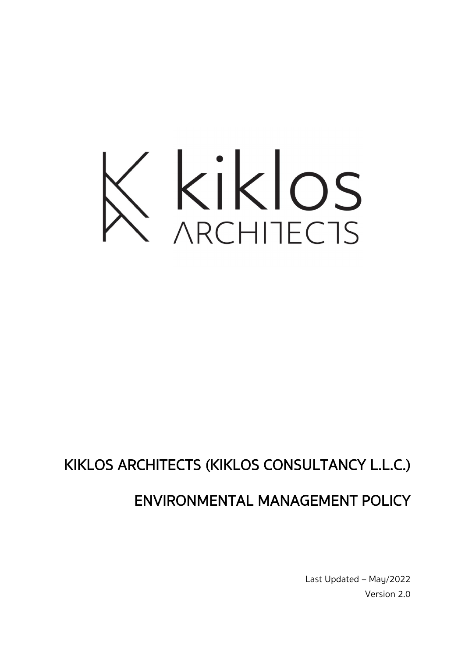

## KIKLOS ARCHITECTS (KIKLOS CONSULTANCY L.L.C.)

## ENVIRONMENTAL MANAGEMENT POLICY

Last Updated – May/2022 Version 2.0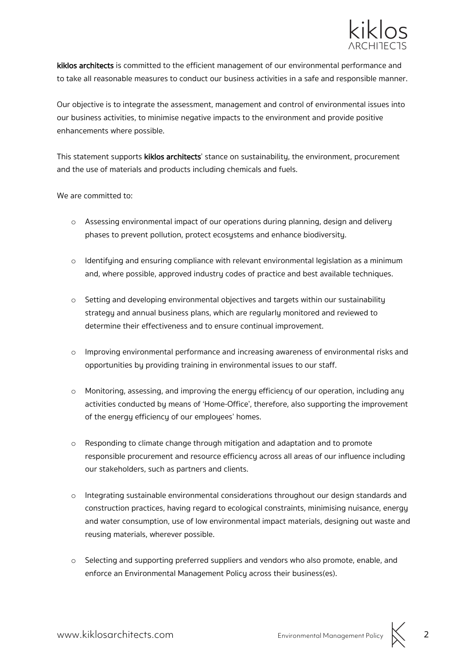

kiklos architects is committed to the efficient management of our environmental performance and to take all reasonable measures to conduct our business activities in a safe and responsible manner.

Our objective is to integrate the assessment, management and control of environmental issues into our business activities, to minimise negative impacts to the environment and provide positive enhancements where possible.

This statement supports kiklos architects' stance on sustainability, the environment, procurement and the use of materials and products including chemicals and fuels.

We are committed to:

- o Assessing environmental impact of our operations during planning, design and delivery phases to prevent pollution, protect ecosystems and enhance biodiversity.
- $\circ$  Identifying and ensuring compliance with relevant environmental legislation as a minimum and, where possible, approved industry codes of practice and best available techniques.
- $\circ$  Setting and developing environmental objectives and targets within our sustainability strategy and annual business plans, which are regularly monitored and reviewed to determine their effectiveness and to ensure continual improvement.
- $\circ$  Improving environmental performance and increasing awareness of environmental risks and opportunities by providing training in environmental issues to our staff.
- o Monitoring, assessing, and improving the energy efficiency of our operation, including any activities conducted by means of 'Home-Office', therefore, also supporting the improvement of the energy efficiency of our employees' homes.
- o Responding to climate change through mitigation and adaptation and to promote responsible procurement and resource efficiency across all areas of our influence including our stakeholders, such as partners and clients.
- o Integrating sustainable environmental considerations throughout our design standards and construction practices, having regard to ecological constraints, minimising nuisance, energy and water consumption, use of low environmental impact materials, designing out waste and reusing materials, wherever possible.
- o Selecting and supporting preferred suppliers and vendors who also promote, enable, and enforce an Environmental Management Policy across their business(es).